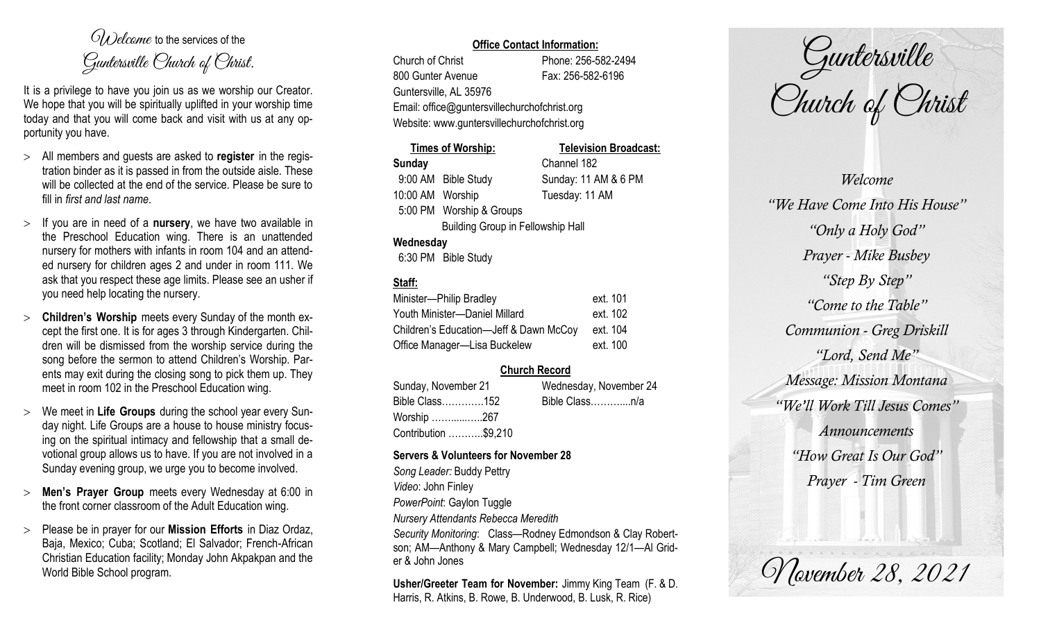$O(\lambda)$  elcame to the services of the Guntersville Church of Christ.

It is a privilege to have you join us as we worship our Creator. We hope that you will be spiritually uplifted in your worship time today and that you will come back and visit with us at any opportunity you have.

- All members and guests are asked to **register** in the registration binder as it is passed in from the outside aisle. These will be collected at the end of the service. Please be sure to fill in *first and last name*.
- $>$  If you are in need of a **nursery**, we have two available in the Preschool Education wing. There is an unattended nursery for mothers with infants in room 104 and an attended nursery for children ages 2 and under in room 111. We ask that you respect these age limits. Please see an usher if you need help locating the nursery.
- **Children's Worship** meets every Sunday of the month except the first one. It is for ages 3 through Kindergarten. Children will be dismissed from the worship service during the song before the sermon to attend Children's Worship. Parents may exit during the closing song to pick them up. They meet in room 102 in the Preschool Education wing.
- We meet in **Life Groups** during the school year every Sunday night. Life Groups are a house to house ministry focusing on the spiritual intimacy and fellowship that a small devotional group allows us to have. If you are not involved in a Sunday evening group, we urge you to become involved.
- **Men's Prayer Group** meets every Wednesday at 6:00 in the front corner classroom of the Adult Education wing.
- Please be in prayer for our **Mission Efforts** in Diaz Ordaz, Baja, Mexico; Cuba; Scotland; El Salvador; French-African Christian Education facility; Monday John Akpakpan and the World Bible School program.

### **Office Contact Information:**

Church of Christ Phone: 256-582-2494 800 Gunter Avenue Fax: 256-582-6196 Guntersville, AL 35976 Email: office@guntersvillechurchofchrist.org Website: www.guntersvillechurchofchrist.org

|                                          | <b>Times of Worship:</b> | <b>Television Broadcast:</b> |
|------------------------------------------|--------------------------|------------------------------|
| <b>Sunday</b>                            |                          | Channel 182                  |
|                                          | 9:00 AM Bible Study      | Sunday: 11 AM & 6 PM         |
| 10:00 AM Worship                         |                          | Tuesday: 11 AM               |
|                                          | 5:00 PM Worship & Groups |                              |
| <b>Building Group in Fellowship Hall</b> |                          |                              |
| Wednesday                                |                          |                              |
|                                          | 6:30 PM Bible Study      |                              |

# **Staff:**

| Minister-Philip Bradley                | ext. 101 |
|----------------------------------------|----------|
| Youth Minister-Daniel Millard          | ext. 102 |
| Children's Education-Jeff & Dawn McCoy | ext. 104 |
| Office Manager-Lisa Buckelew           | ext. 100 |

## **Church Record**

Sunday, November 21 Wednesday, November 24 Bible Class………….152 Bible Class………....n/a Worship ……......…..267 Contribution ………..\$9,210

#### **Servers & Volunteers for November 28**

*Song Leader:* Buddy Pettry *Video*: John Finley *PowerPoint*: Gaylon Tuggle *Nursery Attendants Rebecca Meredith Security Monitoring*: Class—Rodney Edmondson & Clay Robertson; AM—Anthony & Mary Campbell; Wednesday 12/1—Al Grider & John Jones

**Usher/Greeter Team for November:** Jimmy King Team (F. & D. Harris, R. Atkins, B. Rowe, B. Underwood, B. Lusk, R. Rice)

Guntersville Church of Christ

*Welcome "We Have Come Into His House" "Only a Holy God" Prayer - Mike Busbey "Step By Step" "Come to the Table" Communion - Greg Driskill "Lord, Send Me" Message: Mission Montana "We'll Work Till Jesus Comes" Announcements "How Great Is Our God" Prayer - Tim Green*

*Movember 28, 2021*